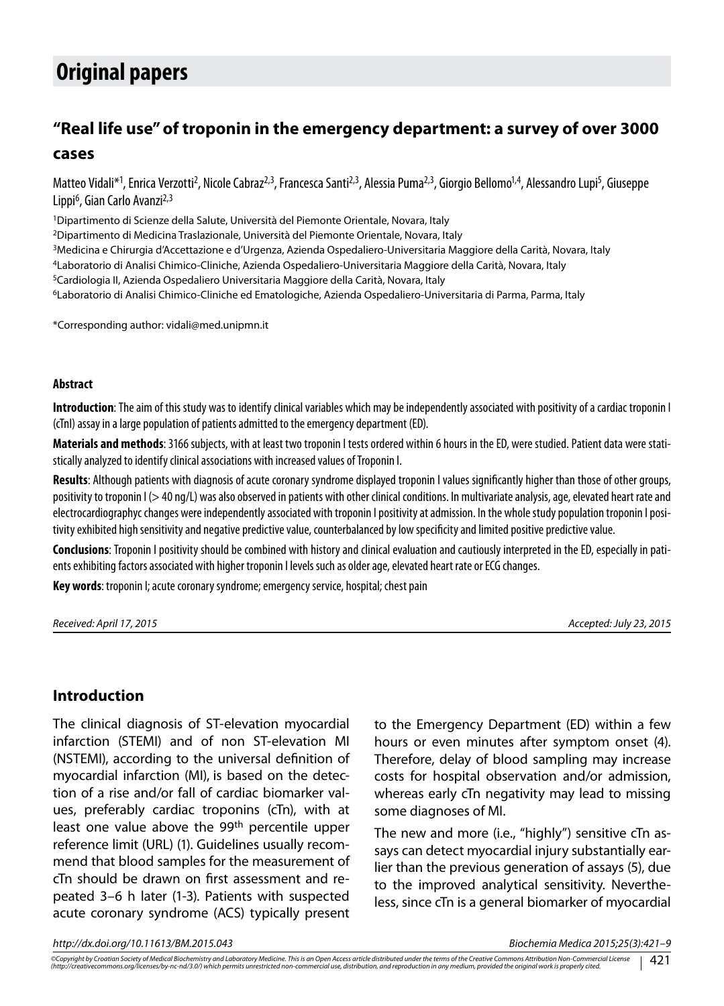# **Original papers**

# **"Real life use" of troponin in the emergency department: a survey of over 3000 cases**

Matteo Vidali\*<sup>1</sup>, Enrica Verzotti<sup>2</sup>, Nicole Cabraz<sup>2,3</sup>, Francesca Santi<sup>2,3</sup>, Alessia Puma<sup>2,3</sup>, Giorgio Bellomo<sup>1,4</sup>, Alessandro Lupi<sup>5</sup>, Giuseppe Lippi<sup>6</sup>, Gian Carlo Avanzi<sup>2,3</sup>

1Dipartimento di Scienze della Salute, Università del Piemonte Orientale, Novara, Italy

2Dipartimento di Medicina Traslazionale, Università del Piemonte Orientale, Novara, Italy

3Medicina e Chirurgia d'Accettazione e d'Urgenza, Azienda Ospedaliero-Universitaria Maggiore della Carità, Novara, Italy

4Laboratorio di Analisi Chimico-Cliniche, Azienda Ospedaliero-Universitaria Maggiore della Carità, Novara, Italy

5Cardiologia II, Azienda Ospedaliero Universitaria Maggiore della Carità, Novara, Italy

6Laboratorio di Analisi Chimico-Cliniche ed Ematologiche, Azienda Ospedaliero-Universitaria di Parma, Parma, Italy

\*Corresponding author: vidali@med.unipmn.it

#### **Abstract**

**Introduction**: The aim of this study was to identify clinical variables which may be independently associated with positivity of a cardiac troponin I (cTnI) assay in a large population of patients admitted to the emergency department (ED).

**Materials and methods**: 3166 subjects, with at least two troponin I tests ordered within 6 hours in the ED, were studied. Patient data were statistically analyzed to identify clinical associations with increased values of Troponin I.

**Results**: Although patients with diagnosis of acute coronary syndrome displayed troponin I values significantly higher than those of other groups, positivity to troponin I (> 40 ng/L) was also observed in patients with other clinical conditions. In multivariate analysis, age, elevated heart rate and electrocardiographyc changes were independently associated with troponin I positivity at admission. In the whole study population troponin I positivity exhibited high sensitivity and negative predictive value, counterbalanced by low specificity and limited positive predictive value.

**Conclusions**: Troponin I positivity should be combined with history and clinical evaluation and cautiously interpreted in the ED, especially in patients exhibiting factors associated with higher troponin I levels such as older age, elevated heart rate or ECG changes.

**Key words**: troponin I; acute coronary syndrome; emergency service, hospital; chest pain

*Received: April 17, 2015 Accepted: July 23, 2015*

#### **Introduction**

The clinical diagnosis of ST-elevation myocardial infarction (STEMI) and of non ST-elevation MI (NSTEMI), according to the universal definition of myocardial infarction (MI), is based on the detection of a rise and/or fall of cardiac biomarker values, preferably cardiac troponins (cTn), with at least one value above the 99<sup>th</sup> percentile upper reference limit (URL) (1). Guidelines usually recommend that blood samples for the measurement of cTn should be drawn on first assessment and repeated 3–6 h later (1-3). Patients with suspected acute coronary syndrome (ACS) typically present

to the Emergency Department (ED) within a few hours or even minutes after symptom onset (4). Therefore, delay of blood sampling may increase costs for hospital observation and/or admission, whereas early cTn negativity may lead to missing some diagnoses of MI.

The new and more (i.e., "highly") sensitive cTn assays can detect myocardial injury substantially earlier than the previous generation of assays (5), due to the improved analytical sensitivity. Nevertheless, since cTn is a general biomarker of myocardial

*http://dx.doi.org/10.11613/BM.2015.043 Biochemia Medica 2015;25(3):421–9*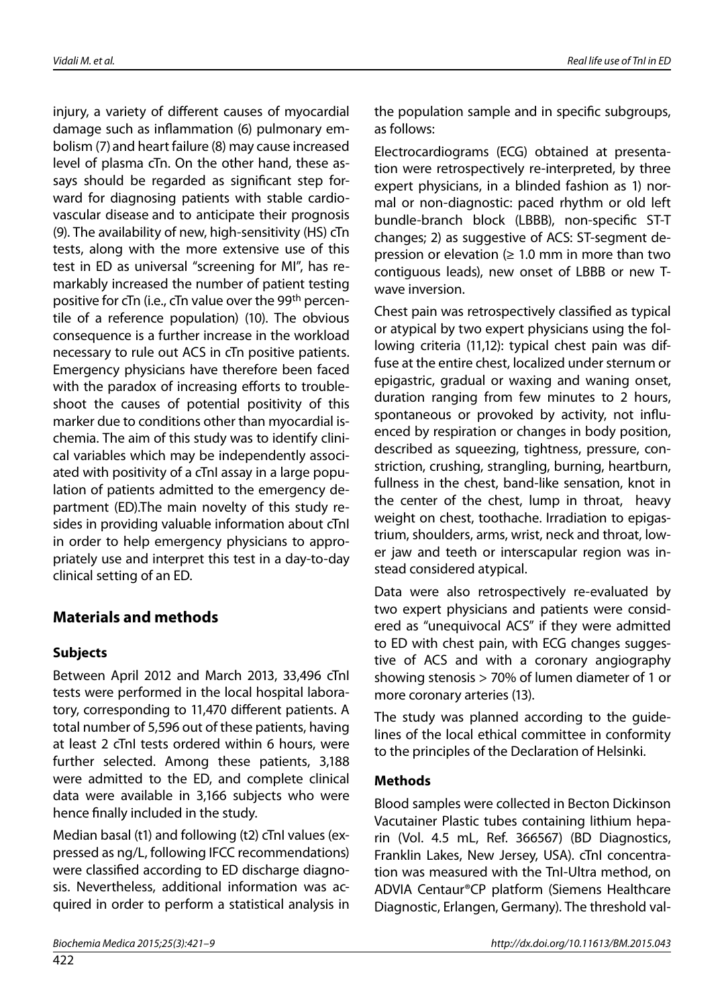injury, a variety of different causes of myocardial damage such as inflammation (6) pulmonary embolism (7) and heart failure (8) may cause increased level of plasma cTn. On the other hand, these assays should be regarded as significant step forward for diagnosing patients with stable cardiovascular disease and to anticipate their prognosis (9). The availability of new, high-sensitivity (HS) cTn tests, along with the more extensive use of this test in ED as universal "screening for MI", has remarkably increased the number of patient testing positive for cTn (i.e., cTn value over the 99th percentile of a reference population) (10). The obvious consequence is a further increase in the workload necessary to rule out ACS in cTn positive patients. Emergency physicians have therefore been faced with the paradox of increasing efforts to troubleshoot the causes of potential positivity of this marker due to conditions other than myocardial ischemia. The aim of this study was to identify clinical variables which may be independently associated with positivity of a cTnI assay in a large population of patients admitted to the emergency department (ED).The main novelty of this study resides in providing valuable information about cTnI in order to help emergency physicians to appropriately use and interpret this test in a day-to-day clinical setting of an ED.

### **Materials and methods**

#### **Subjects**

Between April 2012 and March 2013, 33,496 cTnI tests were performed in the local hospital laboratory, corresponding to 11,470 different patients. A total number of 5,596 out of these patients, having at least 2 cTnI tests ordered within 6 hours, were further selected. Among these patients, 3,188 were admitted to the ED, and complete clinical data were available in 3,166 subjects who were hence finally included in the study.

Median basal (t1) and following (t2) cTnI values (expressed as ng/L, following IFCC recommendations) were classified according to ED discharge diagnosis. Nevertheless, additional information was acquired in order to perform a statistical analysis in the population sample and in specific subgroups, as follows:

Electrocardiograms (ECG) obtained at presentation were retrospectively re-interpreted, by three expert physicians, in a blinded fashion as 1) normal or non-diagnostic: paced rhythm or old left bundle-branch block (LBBB), non-specific ST-T changes; 2) as suggestive of ACS: ST-segment depression or elevation  $(≥ 1.0$  mm in more than two contiguous leads), new onset of LBBB or new Twave inversion.

Chest pain was retrospectively classified as typical or atypical by two expert physicians using the following criteria (11,12): typical chest pain was diffuse at the entire chest, localized under sternum or epigastric, gradual or waxing and waning onset, duration ranging from few minutes to 2 hours, spontaneous or provoked by activity, not influenced by respiration or changes in body position, described as squeezing, tightness, pressure, constriction, crushing, strangling, burning, heartburn, fullness in the chest, band-like sensation, knot in the center of the chest, lump in throat, heavy weight on chest, toothache. Irradiation to epigastrium, shoulders, arms, wrist, neck and throat, lower jaw and teeth or interscapular region was instead considered atypical.

Data were also retrospectively re-evaluated by two expert physicians and patients were considered as "unequivocal ACS" if they were admitted to ED with chest pain, with ECG changes suggestive of ACS and with a coronary angiography showing stenosis > 70% of lumen diameter of 1 or more coronary arteries (13).

The study was planned according to the guidelines of the local ethical committee in conformity to the principles of the Declaration of Helsinki.

#### **Methods**

Blood samples were collected in Becton Dickinson Vacutainer Plastic tubes containing lithium heparin (Vol. 4.5 mL, Ref. 366567) (BD Diagnostics, Franklin Lakes, New Jersey, USA). cTnI concentration was measured with the TnI-Ultra method, on ADVIA Centaur®CP platform (Siemens Healthcare Diagnostic, Erlangen, Germany). The threshold val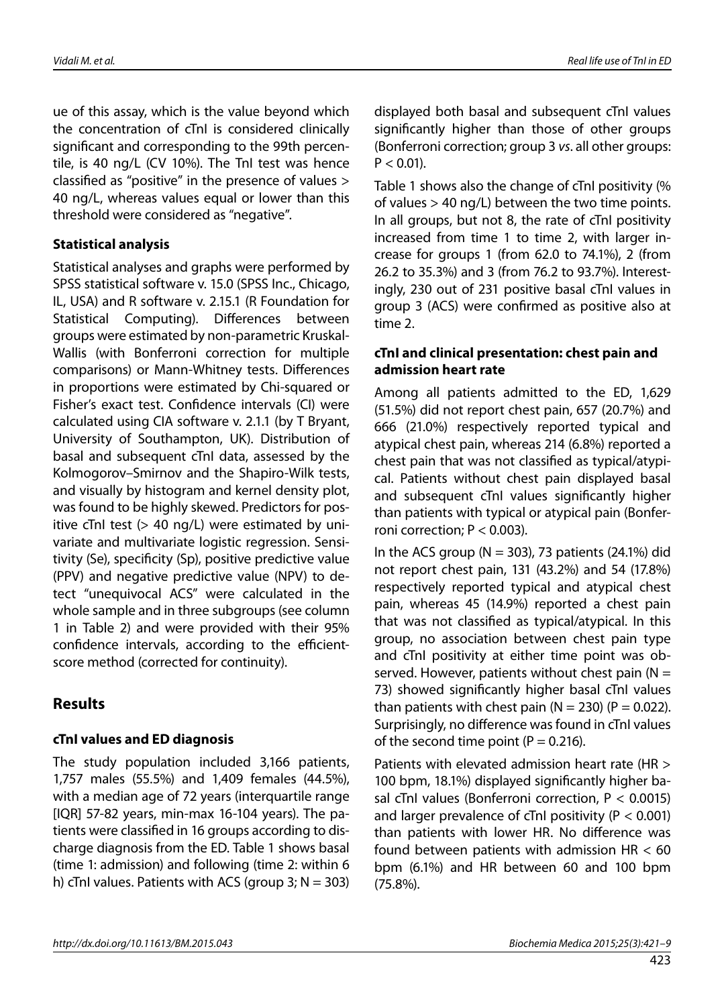ue of this assay, which is the value beyond which the concentration of cTnI is considered clinically significant and corresponding to the 99th percentile, is 40 ng/L (CV 10%). The TnI test was hence classified as "positive" in the presence of values > 40 ng/L, whereas values equal or lower than this threshold were considered as "negative".

#### **Statistical analysis**

Statistical analyses and graphs were performed by SPSS statistical software v. 15.0 (SPSS Inc., Chicago, IL, USA) and R software v. 2.15.1 (R Foundation for Statistical Computing). Differences between groups were estimated by non-parametric Kruskal-Wallis (with Bonferroni correction for multiple comparisons) or Mann-Whitney tests. Differences in proportions were estimated by Chi-squared or Fisher's exact test. Confidence intervals (CI) were calculated using CIA software v. 2.1.1 (by T Bryant, University of Southampton, UK). Distribution of basal and subsequent cTnI data, assessed by the Kolmogorov–Smirnov and the Shapiro-Wilk tests, and visually by histogram and kernel density plot, was found to be highly skewed. Predictors for positive cTnI test (> 40 ng/L) were estimated by univariate and multivariate logistic regression. Sensitivity (Se), specificity (Sp), positive predictive value (PPV) and negative predictive value (NPV) to detect "unequivocal ACS" were calculated in the whole sample and in three subgroups (see column 1 in Table 2) and were provided with their 95% confidence intervals, according to the efficientscore method (corrected for continuity).

### **Results**

#### **cTnI values and ED diagnosis**

The study population included 3,166 patients, 1,757 males (55.5%) and 1,409 females (44.5%), with a median age of 72 years (interquartile range [IQR] 57-82 years, min-max 16-104 years). The patients were classified in 16 groups according to discharge diagnosis from the ED. Table 1 shows basal (time 1: admission) and following (time 2: within 6 h) cTnI values. Patients with ACS (group 3;  $N = 303$ ) displayed both basal and subsequent cTnI values significantly higher than those of other groups (Bonferroni correction; group 3 *vs*. all other groups:  $P < 0.01$ ).

Table 1 shows also the change of cTnI positivity (% of values > 40 ng/L) between the two time points. In all groups, but not 8, the rate of cTnI positivity increased from time 1 to time 2, with larger increase for groups 1 (from 62.0 to 74.1%), 2 (from 26.2 to 35.3%) and 3 (from 76.2 to 93.7%). Interestingly, 230 out of 231 positive basal cTnI values in group 3 (ACS) were confirmed as positive also at time 2.

#### **cTnI and clinical presentation: chest pain and admission heart rate**

Among all patients admitted to the ED, 1,629 (51.5%) did not report chest pain, 657 (20.7%) and 666 (21.0%) respectively reported typical and atypical chest pain, whereas 214 (6.8%) reported a chest pain that was not classified as typical/atypical. Patients without chest pain displayed basal and subsequent cTnI values significantly higher than patients with typical or atypical pain (Bonferroni correction;  $P < 0.003$ ).

In the ACS group ( $N = 303$ ), 73 patients (24.1%) did not report chest pain, 131 (43.2%) and 54 (17.8%) respectively reported typical and atypical chest pain, whereas 45 (14.9%) reported a chest pain that was not classified as typical/atypical. In this group, no association between chest pain type and cTnI positivity at either time point was observed. However, patients without chest pain ( $N =$ 73) showed significantly higher basal cTnI values than patients with chest pain ( $N = 230$ ) ( $P = 0.022$ ). Surprisingly, no difference was found in cTnI values of the second time point ( $P = 0.216$ ).

Patients with elevated admission heart rate (HR > 100 bpm, 18.1%) displayed significantly higher basal cTnI values (Bonferroni correction, P < 0.0015) and larger prevalence of cTnI positivity ( $P < 0.001$ ) than patients with lower HR. No difference was found between patients with admission HR < 60 bpm (6.1%) and HR between 60 and 100 bpm (75.8%).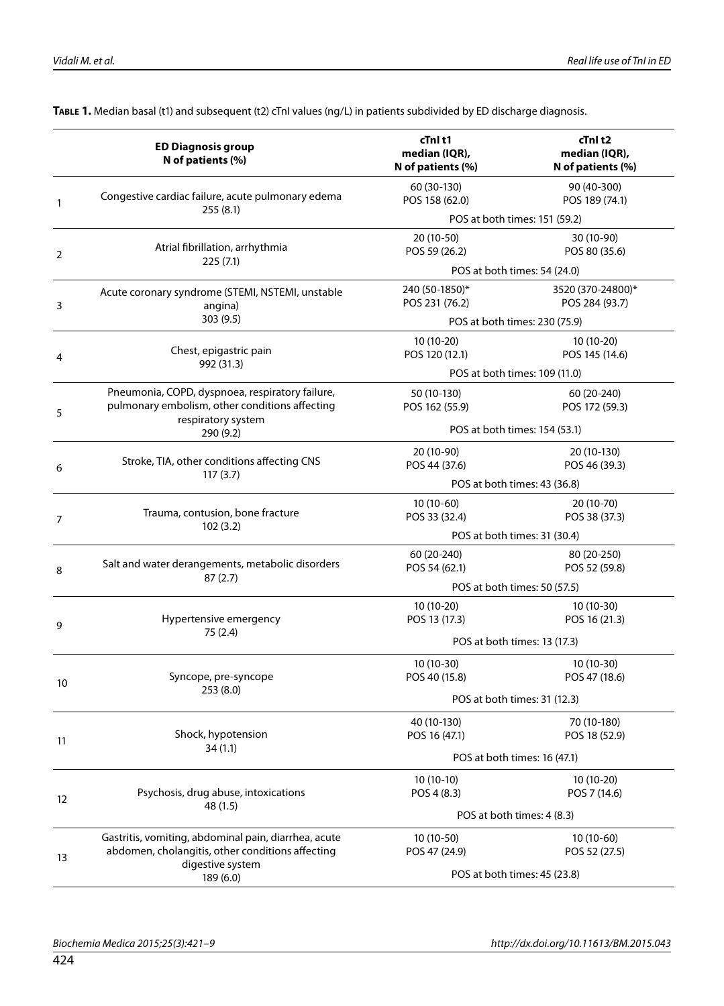|    | <b>ED Diagnosis group</b><br>N of patients (%)                                                           | cTnl t1<br>median (IQR),<br>N of patients (%) | cTnl t2<br>median (IQR),<br>N of patients (%) |  |  |
|----|----------------------------------------------------------------------------------------------------------|-----------------------------------------------|-----------------------------------------------|--|--|
| 1  | Congestive cardiac failure, acute pulmonary edema<br>255(8.1)                                            | 60 (30-130)<br>POS 158 (62.0)                 | 90 (40-300)<br>POS 189 (74.1)                 |  |  |
|    |                                                                                                          |                                               | POS at both times: 151 (59.2)                 |  |  |
| 2  | Atrial fibrillation, arrhythmia<br>225(7.1)                                                              | 20 (10-50)<br>POS 59 (26.2)                   | 30 (10-90)<br>POS 80 (35.6)                   |  |  |
|    |                                                                                                          |                                               | POS at both times: 54 (24.0)                  |  |  |
| 3  | Acute coronary syndrome (STEMI, NSTEMI, unstable<br>angina)                                              | 240 (50-1850)*<br>POS 231 (76.2)              | 3520 (370-24800)*<br>POS 284 (93.7)           |  |  |
|    | 303(9.5)                                                                                                 | POS at both times: 230 (75.9)                 |                                               |  |  |
| 4  | Chest, epigastric pain<br>992 (31.3)                                                                     | 10 (10-20)<br>POS 120 (12.1)                  | 10 (10-20)<br>POS 145 (14.6)                  |  |  |
|    |                                                                                                          | POS at both times: 109 (11.0)                 |                                               |  |  |
| 5  | Pneumonia, COPD, dyspnoea, respiratory failure,<br>pulmonary embolism, other conditions affecting        | 50 (10-130)<br>POS 162 (55.9)                 | 60 (20-240)<br>POS 172 (59.3)                 |  |  |
|    | respiratory system<br>290 (9.2)                                                                          | POS at both times: 154 (53.1)                 |                                               |  |  |
| 6  | Stroke, TIA, other conditions affecting CNS                                                              | 20 (10-90)<br>POS 44 (37.6)                   | 20 (10-130)<br>POS 46 (39.3)                  |  |  |
|    | 117(3.7)                                                                                                 |                                               | POS at both times: 43 (36.8)                  |  |  |
| 7  | Trauma, contusion, bone fracture<br>102(3.2)                                                             | 10 (10-60)<br>POS 33 (32.4)                   | 20 (10-70)<br>POS 38 (37.3)                   |  |  |
|    |                                                                                                          | POS at both times: 31 (30.4)                  |                                               |  |  |
| 8  | Salt and water derangements, metabolic disorders<br>87(2.7)                                              | 60 (20-240)<br>POS 54 (62.1)                  | 80 (20-250)<br>POS 52 (59.8)                  |  |  |
|    |                                                                                                          | POS at both times: 50 (57.5)                  |                                               |  |  |
| 9  | Hypertensive emergency                                                                                   | 10 (10-20)<br>POS 13 (17.3)                   | 10 (10-30)<br>POS 16 (21.3)                   |  |  |
|    | 75(2.4)                                                                                                  | POS at both times: 13 (17.3)                  |                                               |  |  |
| 10 | Syncope, pre-syncope<br>253 (8.0)                                                                        | 10 (10-30)<br>POS 40 (15.8)                   | 10 (10-30)<br>POS 47 (18.6)                   |  |  |
|    |                                                                                                          | POS at both times: 31 (12.3)                  |                                               |  |  |
| 11 | Shock, hypotension                                                                                       | 40 (10-130)<br>POS 16 (47.1)                  | 70 (10-180)<br>POS 18 (52.9)                  |  |  |
|    | 34(1.1)                                                                                                  |                                               | POS at both times: 16 (47.1)                  |  |  |
|    |                                                                                                          | $10(10-10)$                                   | $10(10-20)$                                   |  |  |
| 12 | Psychosis, drug abuse, intoxications<br>48 (1.5)                                                         | POS 4 (8.3)                                   | POS 7 (14.6)<br>POS at both times: 4 (8.3)    |  |  |
|    |                                                                                                          |                                               |                                               |  |  |
|    | Gastritis, vomiting, abdominal pain, diarrhea, acute<br>abdomen, cholangitis, other conditions affecting | 10 (10-50)<br>POS 47 (24.9)                   | $10(10-60)$<br>POS 52 (27.5)                  |  |  |
| 13 | digestive system<br>189 (6.0)                                                                            | POS at both times: 45 (23.8)                  |                                               |  |  |

**Table 1.** Median basal (t1) and subsequent (t2) cTnI values (ng/L) in patients subdivided by ED discharge diagnosis.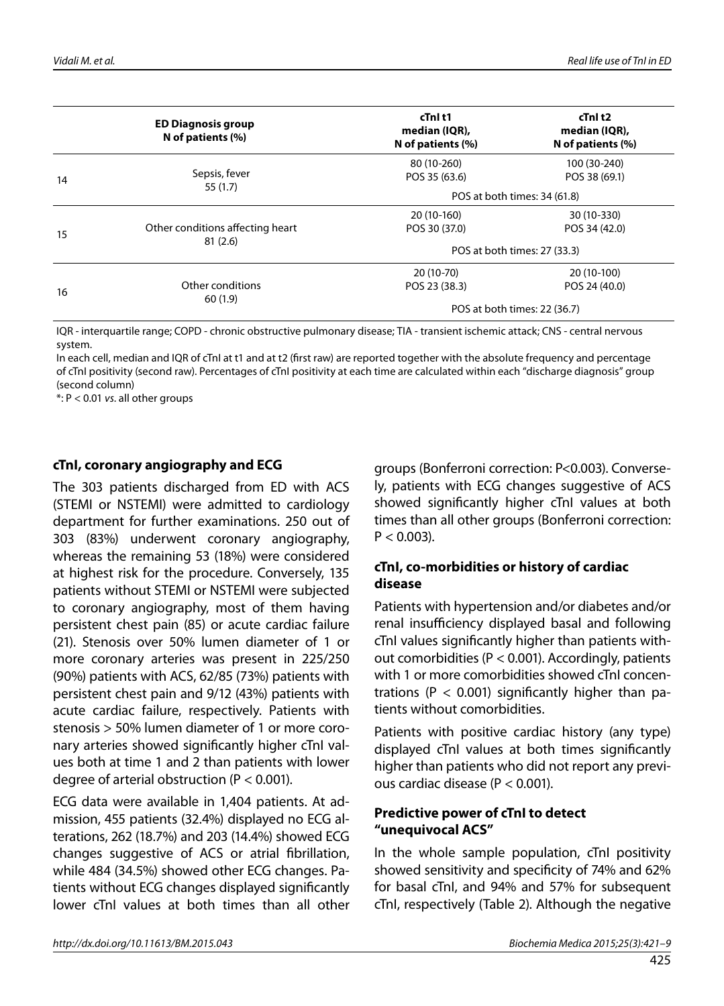|    | <b>ED Diagnosis group</b><br>N of patients (%) | cTnl t1<br>median (IQR),<br>N of patients (%) | cTnl t2<br>median (IQR),<br>N of patients (%) |  |
|----|------------------------------------------------|-----------------------------------------------|-----------------------------------------------|--|
|    |                                                | 80 (10-260)                                   | 100 (30-240)                                  |  |
| 14 | Sepsis, fever<br>55(1.7)                       | POS 35 (63.6)                                 | POS 38 (69.1)                                 |  |
|    |                                                | POS at both times: 34 (61.8)                  |                                               |  |
|    | Other conditions affecting heart               | 20 (10-160)                                   | 30 (10-330)                                   |  |
| 15 |                                                | POS 30 (37.0)                                 | POS 34 (42.0)                                 |  |
|    | 81(2.6)                                        |                                               | POS at both times: 27 (33.3)                  |  |
|    | Other conditions                               | 20 (10-70)                                    | 20 (10-100)                                   |  |
| 16 |                                                | POS 23 (38.3)                                 | POS 24 (40.0)                                 |  |
|    | 60(1.9)                                        |                                               | POS at both times: 22 (36.7)                  |  |

IQR - interquartile range; COPD - chronic obstructive pulmonary disease; TIA - transient ischemic attack; CNS - central nervous system.

In each cell, median and IQR of cTnI at t1 and at t2 (first raw) are reported together with the absolute frequency and percentage of cTnI positivity (second raw). Percentages of cTnI positivity at each time are calculated within each "discharge diagnosis" group (second column)

\*: P < 0.01 *vs*. all other groups

#### **cTnI, coronary angiography and ECG**

The 303 patients discharged from ED with ACS (STEMI or NSTEMI) were admitted to cardiology department for further examinations. 250 out of 303 (83%) underwent coronary angiography, whereas the remaining 53 (18%) were considered at highest risk for the procedure. Conversely, 135 patients without STEMI or NSTEMI were subjected to coronary angiography, most of them having persistent chest pain (85) or acute cardiac failure (21). Stenosis over 50% lumen diameter of 1 or more coronary arteries was present in 225/250 (90%) patients with ACS, 62/85 (73%) patients with persistent chest pain and 9/12 (43%) patients with acute cardiac failure, respectively. Patients with stenosis > 50% lumen diameter of 1 or more coronary arteries showed significantly higher cTnI values both at time 1 and 2 than patients with lower degree of arterial obstruction (P < 0.001).

ECG data were available in 1,404 patients. At admission, 455 patients (32.4%) displayed no ECG alterations, 262 (18.7%) and 203 (14.4%) showed ECG changes suggestive of ACS or atrial fibrillation, while 484 (34.5%) showed other ECG changes. Patients without ECG changes displayed significantly lower cTnI values at both times than all other

groups (Bonferroni correction: P<0.003). Conversely, patients with ECG changes suggestive of ACS showed significantly higher cTnI values at both times than all other groups (Bonferroni correction:  $P < 0.003$ ).

#### **cTnI, co-morbidities or history of cardiac disease**

Patients with hypertension and/or diabetes and/or renal insufficiency displayed basal and following cTnI values significantly higher than patients without comorbidities (P < 0.001). Accordingly, patients with 1 or more comorbidities showed cTnI concentrations ( $P < 0.001$ ) significantly higher than patients without comorbidities.

Patients with positive cardiac history (any type) displayed cTnI values at both times significantly higher than patients who did not report any previous cardiac disease (P < 0.001).

#### **Predictive power of cTnI to detect "unequivocal ACS"**

In the whole sample population, cTnI positivity showed sensitivity and specificity of 74% and 62% for basal cTnI, and 94% and 57% for subsequent cTnI, respectively (Table 2). Although the negative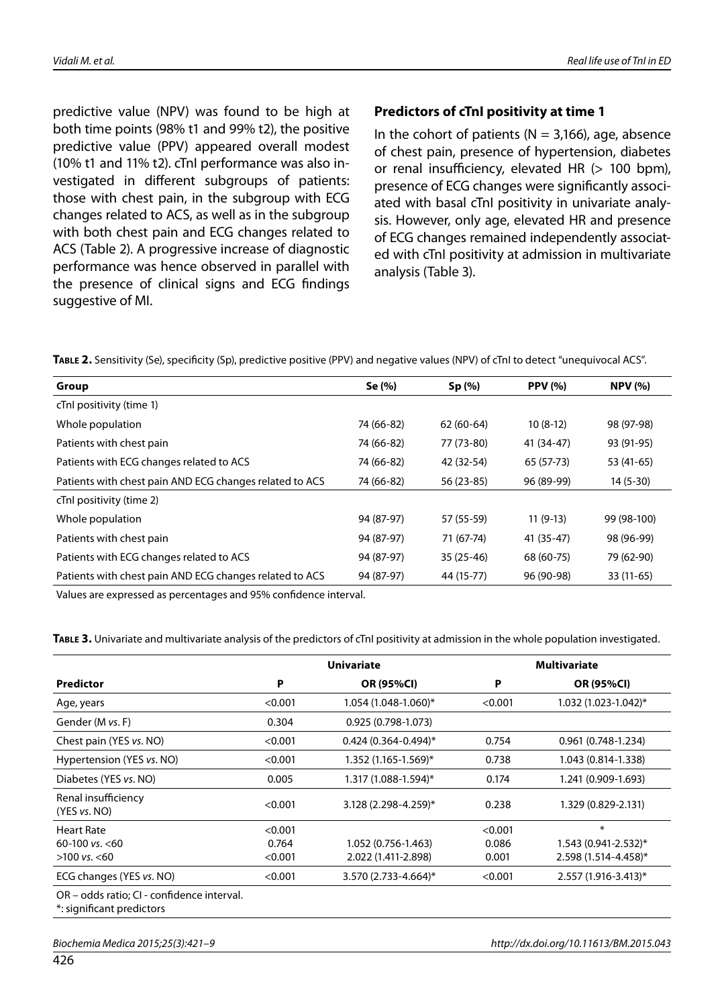predictive value (NPV) was found to be high at both time points (98% t1 and 99% t2), the positive predictive value (PPV) appeared overall modest (10% t1 and 11% t2). cTnI performance was also investigated in different subgroups of patients: those with chest pain, in the subgroup with ECG changes related to ACS, as well as in the subgroup with both chest pain and ECG changes related to ACS (Table 2). A progressive increase of diagnostic performance was hence observed in parallel with the presence of clinical signs and ECG findings suggestive of MI.

#### **Predictors of cTnI positivity at time 1**

In the cohort of patients ( $N = 3,166$ ), age, absence of chest pain, presence of hypertension, diabetes or renal insufficiency, elevated HR (> 100 bpm), presence of ECG changes were significantly associated with basal cTnI positivity in univariate analysis. However, only age, elevated HR and presence of ECG changes remained independently associated with cTnI positivity at admission in multivariate analysis (Table 3).

Table 2. Sensitivity (Se), specificity (Sp), predictive positive (PPV) and negative values (NPV) of cTnI to detect "unequivocal ACS".

| Group                                                   | Se (%)     | Sp(%)       | <b>PPV</b> (%) | <b>NPV</b> (%) |
|---------------------------------------------------------|------------|-------------|----------------|----------------|
| cTnl positivity (time 1)                                |            |             |                |                |
| Whole population                                        | 74 (66-82) | $62(60-64)$ | $10(8-12)$     | 98 (97-98)     |
| Patients with chest pain                                | 74 (66-82) | 77 (73-80)  | 41 (34-47)     | 93 (91-95)     |
| Patients with ECG changes related to ACS                | 74 (66-82) | 42 (32-54)  | 65 (57-73)     | 53 (41-65)     |
| Patients with chest pain AND ECG changes related to ACS | 74 (66-82) | 56 (23-85)  | 96 (89-99)     | $14(5-30)$     |
| cTnl positivity (time 2)                                |            |             |                |                |
| Whole population                                        | 94 (87-97) | 57 (55-59)  | $11(9-13)$     | 99 (98-100)    |
| Patients with chest pain                                | 94 (87-97) | 71 (67-74)  | 41 (35-47)     | 98 (96-99)     |
| Patients with ECG changes related to ACS                | 94 (87-97) | $35(25-46)$ | 68 (60-75)     | 79 (62-90)     |
| Patients with chest pain AND ECG changes related to ACS | 94 (87-97) | 44 (15-77)  | 96 (90-98)     | $33(11-65)$    |

Values are expressed as percentages and 95% confidence interval.

**Table 3.** Univariate and multivariate analysis of the predictors of cTnI positivity at admission in the whole population investigated.

|                                                                         | <b>Univariate</b> |                            |         | <b>Multivariate</b>        |  |
|-------------------------------------------------------------------------|-------------------|----------------------------|---------|----------------------------|--|
| Predictor                                                               | P                 | OR (95%CI)                 | Ρ       | OR (95%CI)                 |  |
| Age, years                                                              | < 0.001           | 1.054 (1.048-1.060)*       | < 0.001 | $1.032(1.023-1.042)^{*}$   |  |
| Gender (M vs. F)                                                        | 0.304             | $0.925(0.798-1.073)$       |         |                            |  |
| Chest pain (YES vs. NO)                                                 | < 0.001           | $0.424(0.364 - 0.494)^{*}$ | 0.754   | $0.961(0.748-1.234)$       |  |
| Hypertension (YES vs. NO)                                               | < 0.001           | $1.352(1.165 - 1.569)^*$   | 0.738   | 1.043 (0.814-1.338)        |  |
| Diabetes (YES vs. NO)                                                   | 0.005             | 1.317 (1.088-1.594)*       | 0.174   | 1.241 (0.909-1.693)        |  |
| Renal insufficiency<br>(YES vs. NO)                                     | < 0.001           | 3.128 (2.298-4.259)*       | 0.238   | 1.329 (0.829-2.131)        |  |
| <b>Heart Rate</b>                                                       | < 0.001           |                            | < 0.001 | $\ast$                     |  |
| 60-100 vs. $<$ 60                                                       | 0.764             | 1.052 (0.756-1.463)        | 0.086   | $1.543(0.941 - 2.532)^{*}$ |  |
| $>100$ vs. $< 60$                                                       | < 0.001           | 2.022 (1.411-2.898)        | 0.001   | 2.598 (1.514-4.458)*       |  |
| ECG changes (YES vs. NO)                                                | < 0.001           | 3.570 (2.733-4.664)*       | < 0.001 | 2.557 (1.916-3.413)*       |  |
| OR – odds ratio; CI - confidence interval.<br>*: significant predictors |                   |                            |         |                            |  |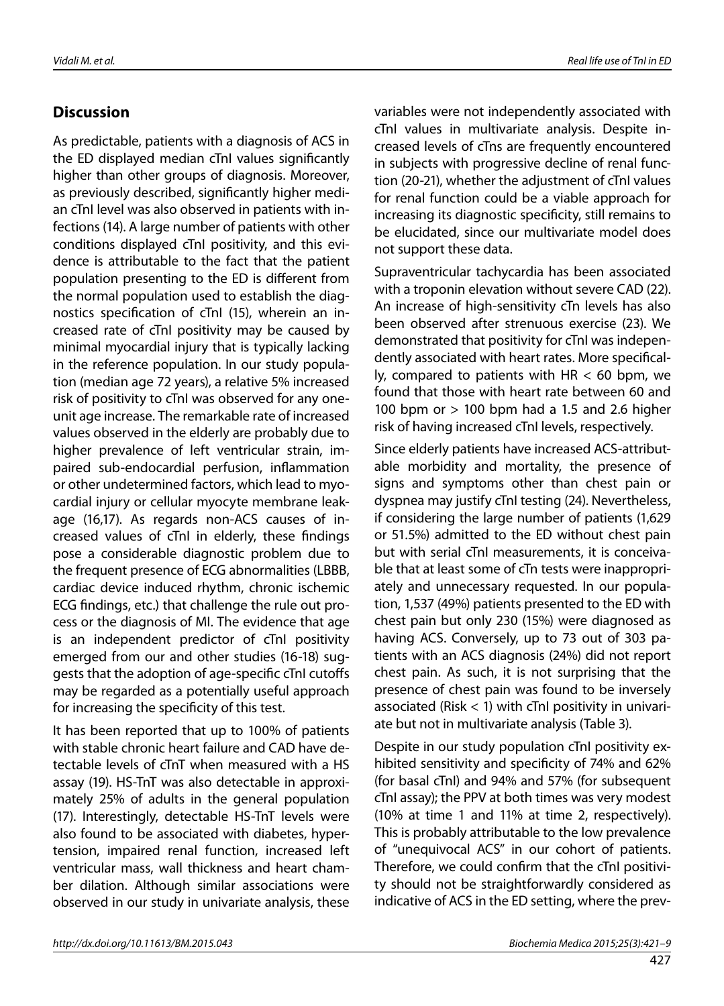## **Discussion**

As predictable, patients with a diagnosis of ACS in the ED displayed median cTnI values significantly higher than other groups of diagnosis. Moreover, as previously described, significantly higher median cTnI level was also observed in patients with infections (14). A large number of patients with other conditions displayed cTnI positivity, and this evidence is attributable to the fact that the patient population presenting to the ED is different from the normal population used to establish the diagnostics specification of cTnI (15), wherein an increased rate of cTnI positivity may be caused by minimal myocardial injury that is typically lacking in the reference population. In our study population (median age 72 years), a relative 5% increased risk of positivity to cTnI was observed for any oneunit age increase. The remarkable rate of increased values observed in the elderly are probably due to higher prevalence of left ventricular strain, impaired sub-endocardial perfusion, inflammation or other undetermined factors, which lead to myocardial injury or cellular myocyte membrane leakage (16,17). As regards non-ACS causes of increased values of cTnI in elderly, these findings pose a considerable diagnostic problem due to the frequent presence of ECG abnormalities (LBBB, cardiac device induced rhythm, chronic ischemic ECG findings, etc.) that challenge the rule out process or the diagnosis of MI. The evidence that age is an independent predictor of cTnI positivity emerged from our and other studies (16-18) suggests that the adoption of age-specific cTnI cutoffs may be regarded as a potentially useful approach for increasing the specificity of this test.

It has been reported that up to 100% of patients with stable chronic heart failure and CAD have detectable levels of cTnT when measured with a HS assay (19). HS-TnT was also detectable in approximately 25% of adults in the general population (17). Interestingly, detectable HS-TnT levels were also found to be associated with diabetes, hypertension, impaired renal function, increased left ventricular mass, wall thickness and heart chamber dilation. Although similar associations were observed in our study in univariate analysis, these

variables were not independently associated with cTnI values in multivariate analysis. Despite increased levels of cTns are frequently encountered in subjects with progressive decline of renal function (20-21), whether the adjustment of cTnI values for renal function could be a viable approach for increasing its diagnostic specificity, still remains to be elucidated, since our multivariate model does not support these data.

Supraventricular tachycardia has been associated with a troponin elevation without severe CAD (22). An increase of high-sensitivity cTn levels has also been observed after strenuous exercise (23). We demonstrated that positivity for cTnI was independently associated with heart rates. More specifically, compared to patients with  $HR < 60$  bpm, we found that those with heart rate between 60 and 100 bpm or > 100 bpm had a 1.5 and 2.6 higher risk of having increased cTnI levels, respectively.

Since elderly patients have increased ACS-attributable morbidity and mortality, the presence of signs and symptoms other than chest pain or dyspnea may justify cTnI testing (24). Nevertheless, if considering the large number of patients (1,629 or 51.5%) admitted to the ED without chest pain but with serial cTnI measurements, it is conceivable that at least some of cTn tests were inappropriately and unnecessary requested. In our population, 1,537 (49%) patients presented to the ED with chest pain but only 230 (15%) were diagnosed as having ACS. Conversely, up to 73 out of 303 patients with an ACS diagnosis (24%) did not report chest pain. As such, it is not surprising that the presence of chest pain was found to be inversely associated (Risk  $<$  1) with cTnI positivity in univariate but not in multivariate analysis (Table 3).

Despite in our study population cTnI positivity exhibited sensitivity and specificity of 74% and 62% (for basal cTnI) and 94% and 57% (for subsequent cTnI assay); the PPV at both times was very modest (10% at time 1 and 11% at time 2, respectively). This is probably attributable to the low prevalence of "unequivocal ACS" in our cohort of patients. Therefore, we could confirm that the cTnI positivity should not be straightforwardly considered as indicative of ACS in the ED setting, where the prev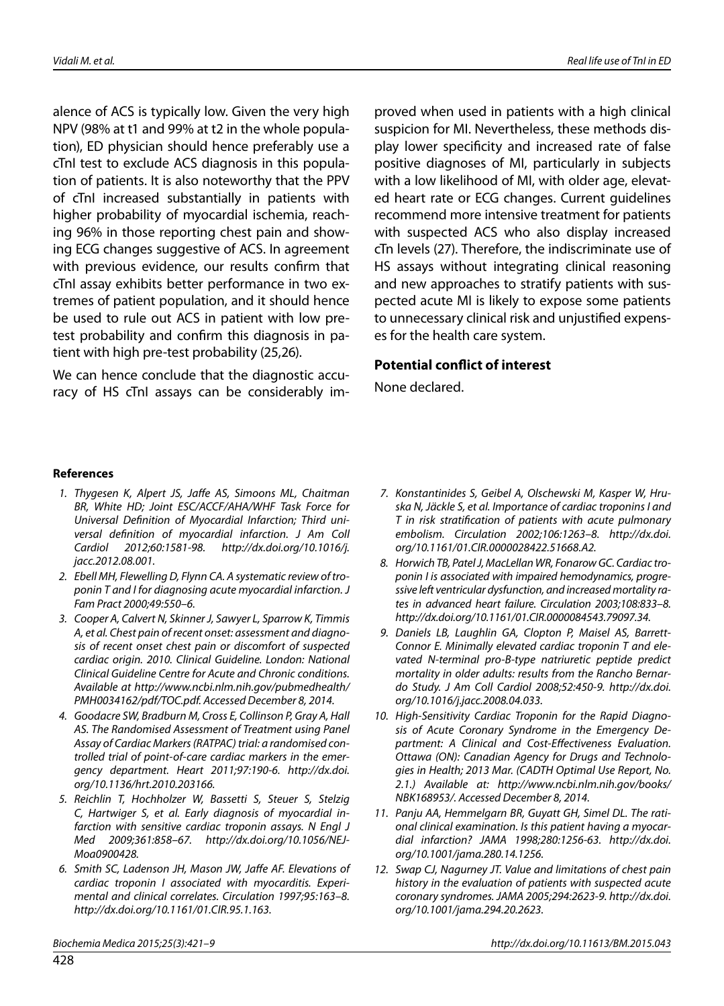alence of ACS is typically low. Given the very high NPV (98% at t1 and 99% at t2 in the whole population), ED physician should hence preferably use a cTnI test to exclude ACS diagnosis in this population of patients. It is also noteworthy that the PPV of cTnI increased substantially in patients with higher probability of myocardial ischemia, reaching 96% in those reporting chest pain and showing ECG changes suggestive of ACS. In agreement with previous evidence, our results confirm that cTnI assay exhibits better performance in two extremes of patient population, and it should hence be used to rule out ACS in patient with low pretest probability and confirm this diagnosis in patient with high pre-test probability (25,26).

We can hence conclude that the diagnostic accuracy of HS cTnI assays can be considerably improved when used in patients with a high clinical suspicion for MI. Nevertheless, these methods display lower specificity and increased rate of false positive diagnoses of MI, particularly in subjects with a low likelihood of MI, with older age, elevated heart rate or ECG changes. Current guidelines recommend more intensive treatment for patients with suspected ACS who also display increased cTn levels (27). Therefore, the indiscriminate use of HS assays without integrating clinical reasoning and new approaches to stratify patients with suspected acute MI is likely to expose some patients to unnecessary clinical risk and unjustified expenses for the health care system.

#### **Potential conflict of interest**

None declared.

#### **References**

- *1. Thygesen K, Alpert JS, Jaffe AS, Simoons ML, Chaitman BR, White HD; Joint ESC/ACCF/AHA/WHF Task Force for Universal Definition of Myocardial Infarction; Third universal definition of myocardial infarction. J Am Coll Cardiol 2012;60:1581-98. http://dx.doi.org/10.1016/j. jacc.2012.08.001.*
- *2. Ebell MH, Flewelling D, Flynn CA. A systematic review of troponin T and I for diagnosing acute myocardial infarction. J Fam Pract 2000;49:550–6.*
- *3. Cooper A, Calvert N, Skinner J, Sawyer L, Sparrow K, Timmis A, et al. Chest pain of recent onset: assessment and diagnosis of recent onset chest pain or discomfort of suspected cardiac origin. 2010. Clinical Guideline. London: National Clinical Guideline Centre for Acute and Chronic conditions. Available at http://www.ncbi.nlm.nih.gov/pubmedhealth/ PMH0034162/pdf/TOC.pdf. Accessed December 8, 2014.*
- *4. Goodacre SW, Bradburn M, Cross E, Collinson P, Gray A, Hall AS. The Randomised Assessment of Treatment using Panel Assay of Cardiac Markers (RATPAC) trial: a randomised controlled trial of point-of-care cardiac markers in the emergency department. Heart 2011;97:190-6. http://dx.doi. org/10.1136/hrt.2010.203166.*
- *5. Reichlin T, Hochholzer W, Bassetti S, Steuer S, Stelzig C, Hartwiger S, et al. Early diagnosis of myocardial infarction with sensitive cardiac troponin assays. N Engl J Med 2009;361:858–67. http://dx.doi.org/10.1056/NEJ-Moa0900428.*
- *6. Smith SC, Ladenson JH, Mason JW, Jaffe AF. Elevations of cardiac troponin I associated with myocarditis. Experimental and clinical correlates. Circulation 1997;95:163–8. http://dx.doi.org/10.1161/01.CIR.95.1.163.*
- *7. Konstantinides S, Geibel A, Olschewski M, Kasper W, Hruska N, Jäckle S, et al. Importance of cardiac troponins I and T in risk stratification of patients with acute pulmonary embolism. Circulation 2002;106:1263–8. http://dx.doi. org/10.1161/01.CIR.0000028422.51668.A2.*
- *8. Horwich TB, Patel J, MacLellan WR, Fonarow GC. Cardiac troponin I is associated with impaired hemodynamics, progressive left ventricular dysfunction, and increased mortality rates in advanced heart failure. Circulation 2003;108:833–8. http://dx.doi.org/10.1161/01.CIR.0000084543.79097.34.*
- *9. Daniels LB, Laughlin GA, Clopton P, Maisel AS, Barrett-Connor E. Minimally elevated cardiac troponin T and elevated N-terminal pro-B-type natriuretic peptide predict mortality in older adults: results from the Rancho Bernardo Study. J Am Coll Cardiol 2008;52:450-9. http://dx.doi. org/10.1016/j.jacc.2008.04.033.*
- *10. High-Sensitivity Cardiac Troponin for the Rapid Diagnosis of Acute Coronary Syndrome in the Emergency Department: A Clinical and Cost-Effectiveness Evaluation. Ottawa (ON): Canadian Agency for Drugs and Technologies in Health; 2013 Mar. (CADTH Optimal Use Report, No. 2.1.) Available at: http://www.ncbi.nlm.nih.gov/books/ NBK168953/. Accessed December 8, 2014.*
- *11. Panju AA, Hemmelgarn BR, Guyatt GH, Simel DL. The rational clinical examination. Is this patient having a myocardial infarction? JAMA 1998;280:1256-63. http://dx.doi. org/10.1001/jama.280.14.1256.*
- *12. Swap CJ, Nagurney JT. Value and limitations of chest pain history in the evaluation of patients with suspected acute coronary syndromes. JAMA 2005;294:2623-9. http://dx.doi. org/10.1001/jama.294.20.2623.*